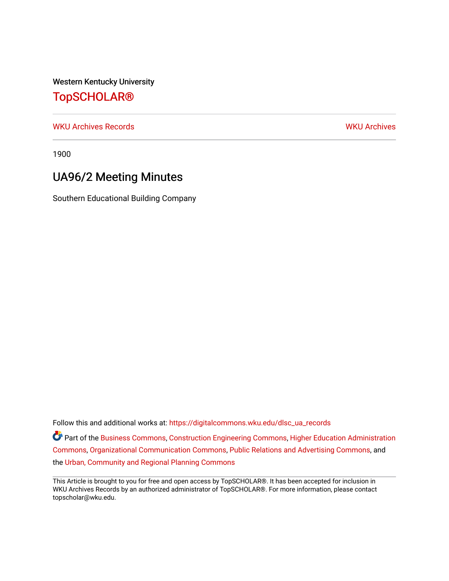Western Kentucky University

## [TopSCHOLAR®](https://digitalcommons.wku.edu/)

[WKU Archives Records](https://digitalcommons.wku.edu/dlsc_ua_records) [WKU Archives](https://digitalcommons.wku.edu/dlsc_ua) 

1900

## UA96/2 Meeting Minutes

Southern Educational Building Company

Follow this and additional works at: [https://digitalcommons.wku.edu/dlsc\\_ua\\_records](https://digitalcommons.wku.edu/dlsc_ua_records?utm_source=digitalcommons.wku.edu%2Fdlsc_ua_records%2F8742&utm_medium=PDF&utm_campaign=PDFCoverPages) Part of the [Business Commons](http://network.bepress.com/hgg/discipline/622?utm_source=digitalcommons.wku.edu%2Fdlsc_ua_records%2F8742&utm_medium=PDF&utm_campaign=PDFCoverPages), [Construction Engineering Commons](http://network.bepress.com/hgg/discipline/775?utm_source=digitalcommons.wku.edu%2Fdlsc_ua_records%2F8742&utm_medium=PDF&utm_campaign=PDFCoverPages), [Higher Education Administration](http://network.bepress.com/hgg/discipline/791?utm_source=digitalcommons.wku.edu%2Fdlsc_ua_records%2F8742&utm_medium=PDF&utm_campaign=PDFCoverPages)  [Commons](http://network.bepress.com/hgg/discipline/791?utm_source=digitalcommons.wku.edu%2Fdlsc_ua_records%2F8742&utm_medium=PDF&utm_campaign=PDFCoverPages), [Organizational Communication Commons,](http://network.bepress.com/hgg/discipline/335?utm_source=digitalcommons.wku.edu%2Fdlsc_ua_records%2F8742&utm_medium=PDF&utm_campaign=PDFCoverPages) [Public Relations and Advertising Commons,](http://network.bepress.com/hgg/discipline/336?utm_source=digitalcommons.wku.edu%2Fdlsc_ua_records%2F8742&utm_medium=PDF&utm_campaign=PDFCoverPages) and the [Urban, Community and Regional Planning Commons](http://network.bepress.com/hgg/discipline/776?utm_source=digitalcommons.wku.edu%2Fdlsc_ua_records%2F8742&utm_medium=PDF&utm_campaign=PDFCoverPages) 

This Article is brought to you for free and open access by TopSCHOLAR®. It has been accepted for inclusion in WKU Archives Records by an authorized administrator of TopSCHOLAR®. For more information, please contact topscholar@wku.edu.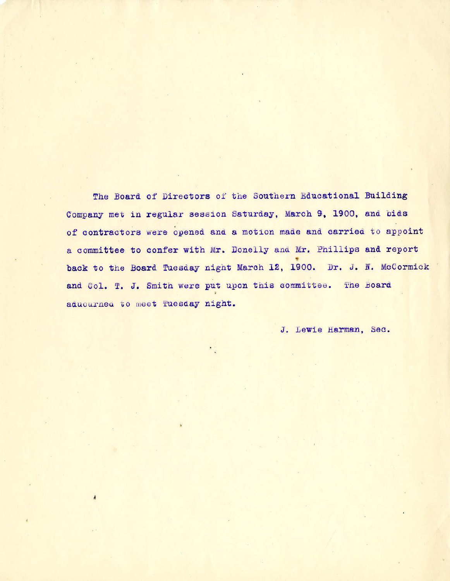The Board of Directors of the Southern Educational Building Company met in regular session Saturday, March 9, 1900, and bids of contractors were opened and a motion made and carried to appoint a committee to confer with Mr. Donelly and Mr. Phillips and report back to the Board Tuesday night March 12, 1900. Dr. J. N. McCormick and Col. T. J. Smith were put upon this committee. The Board aduourned to meet Tuesday night.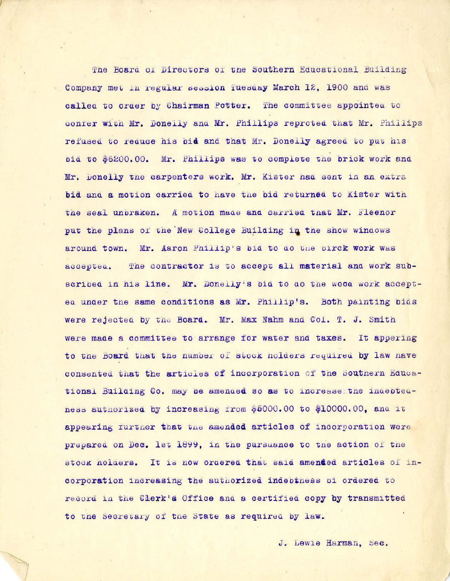The Board of Directors of the Southern Educational Building Company met in regular session Tuesday March 12, 1900 and was called to order by Chairman Potter. The committee appointed to conter with Mr. Donelly and Mr. Phillips reproted that Mr. Phillips refused to reduce his bid and that Mr. Donelly agreed to put his bid to \$6200.00. Mr. Phillips was to complete the brick work and Mr. Donelly the carpenters work. Mr. Kister had sent in an extra bid and a motion carried to have the bid returned to Kister with the seal unbraken. A motion made and carried that Mr. Fleenor put the plans of the New College Building in the show windows around town. Mr. Aaron Phillip's bid to do the birck work was accepted. The contractor is to accept all material and work subscribed in his line. Mr. Donelly's bid to do the wood work accepted under the same conditions as Mr. Phillip's. Both painting bids were rejected by the Board. Mr. Max Nahm and Col. T. J. Smith were made a committee to arrange for water and taxes. It appering to the Board that the number of stock nolders required by law have consented that the articles of incorporation of the Southern Educational Building Co. may be amended so as to increase the indebtedness authorized by increasing from \$5000.00 to \$10000.00, and it appearing further that the amended articles of incorporation were prepared on Dec. 1st 1899, in the pursuance to the action of the stock holaers. It is now ordered that said amended articles of incorporation increasing the authorized indebiness bi ordered to record in the Clerk's Office and a certified copy by transmitted to the Secretary of the State as required by law.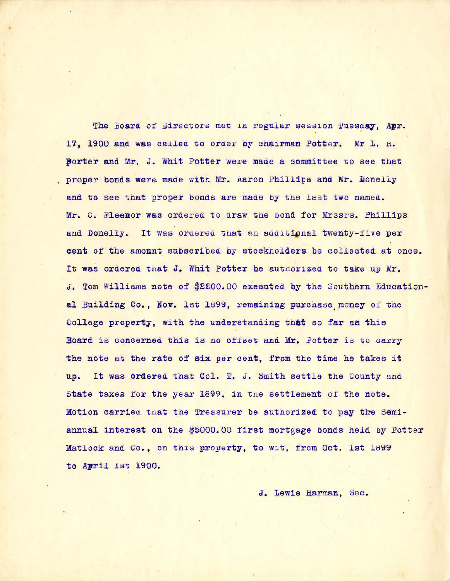The Board of Directors met in regular session Tuesday, Apr. 17. 1900 and was called to order by chairman Potter. Mr L. R. Borter and Mr. J. Whit Potter were made a committee to see that proper bonds were made with Mr. Aaron Phillips and Mr. Donelly and to see that proper bonds are made by the last two named. Mr. C. Fleenor was ordered to draw the pond for Mrssrs. Phillips and Donelly. It was ordered that an additional twenty-five per cent of the amount subscribed by stockholders be collected at once. It was ordered that J. Whit Potter be authorized to take up Mr. J. Tom Williams note of \$2200.00 executed by the Southern Educational Building Co., Nov. 1st 1899, remaining purchase money of the Gollege property, with the understanding that so far as this Board is concerned this is no offset and Mr. Potter is to carry the note at the rate of six per cent, from the time he takes it up. It was ordered that Col. T. J. Smith settle the County and State taxes for the year 1899, in the settlement of the note. Motion carried that the Treasurer be authorized to pay the Semiannual interest on the \$5000.00 first mortgage bonds held by Potter Matlock and Co., on this property, to wit, from Oct. 1st 1899 to April 1st 1900.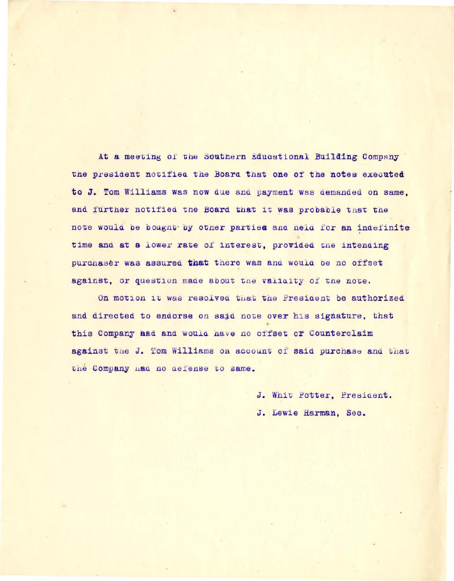At a meeting of the Southern Educational Building Company the president notified the Board that one of the notes executed to J. Tom Williams was now due and payment was demanded on same. and further notified the Board that it was probable that the note would be bought by other parties and held for an indefinite time and at a lower rate of interest, provided the intending purchaser was assured that there was and would be no offset against, or question made about the valiaity of the note.

On motion it was resolved that the President be authorized and directed to endorse on said note over his signature, that this Company aad and would have no offset or Counterclaim against the J. Tom Williams on account of said purchase and that the Company had no defense to same.

> J. Whit Potter, President. J. Lewie Harman, Sec.